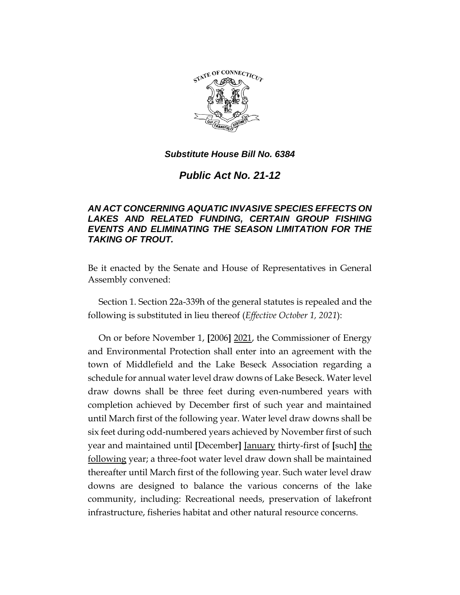

# *Public Act No. 21-12*

### *AN ACT CONCERNING AQUATIC INVASIVE SPECIES EFFECTS ON LAKES AND RELATED FUNDING, CERTAIN GROUP FISHING EVENTS AND ELIMINATING THE SEASON LIMITATION FOR THE TAKING OF TROUT.*

Be it enacted by the Senate and House of Representatives in General Assembly convened:

Section 1. Section 22a-339h of the general statutes is repealed and the following is substituted in lieu thereof (*Effective October 1, 2021*):

On or before November 1, **[**2006**]** 2021, the Commissioner of Energy and Environmental Protection shall enter into an agreement with the town of Middlefield and the Lake Beseck Association regarding a schedule for annual water level draw downs of Lake Beseck. Water level draw downs shall be three feet during even-numbered years with completion achieved by December first of such year and maintained until March first of the following year. Water level draw downs shall be six feet during odd-numbered years achieved by November first of such year and maintained until **[**December**]** January thirty-first of **[**such**]** the following year; a three-foot water level draw down shall be maintained thereafter until March first of the following year. Such water level draw downs are designed to balance the various concerns of the lake community, including: Recreational needs, preservation of lakefront infrastructure, fisheries habitat and other natural resource concerns.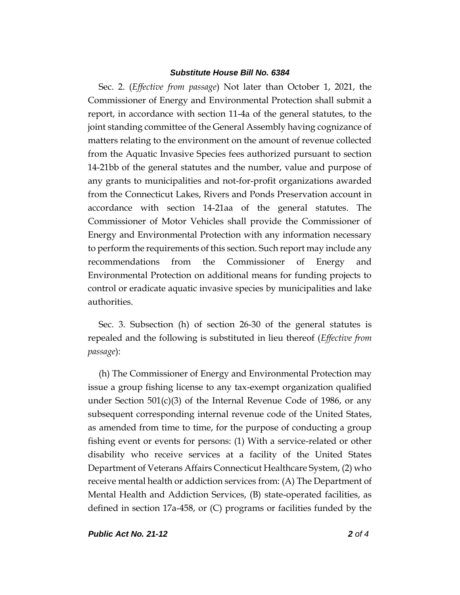Sec. 2. (*Effective from passage*) Not later than October 1, 2021, the Commissioner of Energy and Environmental Protection shall submit a report, in accordance with section 11-4a of the general statutes, to the joint standing committee of the General Assembly having cognizance of matters relating to the environment on the amount of revenue collected from the Aquatic Invasive Species fees authorized pursuant to section 14-21bb of the general statutes and the number, value and purpose of any grants to municipalities and not-for-profit organizations awarded from the Connecticut Lakes, Rivers and Ponds Preservation account in accordance with section 14-21aa of the general statutes. The Commissioner of Motor Vehicles shall provide the Commissioner of Energy and Environmental Protection with any information necessary to perform the requirements of this section. Such report may include any recommendations from the Commissioner of Energy and Environmental Protection on additional means for funding projects to control or eradicate aquatic invasive species by municipalities and lake authorities.

Sec. 3. Subsection (h) of section 26-30 of the general statutes is repealed and the following is substituted in lieu thereof (*Effective from passage*):

(h) The Commissioner of Energy and Environmental Protection may issue a group fishing license to any tax-exempt organization qualified under Section  $501(c)(3)$  of the Internal Revenue Code of 1986, or any subsequent corresponding internal revenue code of the United States, as amended from time to time, for the purpose of conducting a group fishing event or events for persons: (1) With a service-related or other disability who receive services at a facility of the United States Department of Veterans Affairs Connecticut Healthcare System, (2) who receive mental health or addiction services from: (A) The Department of Mental Health and Addiction Services, (B) state-operated facilities, as defined in section 17a-458, or (C) programs or facilities funded by the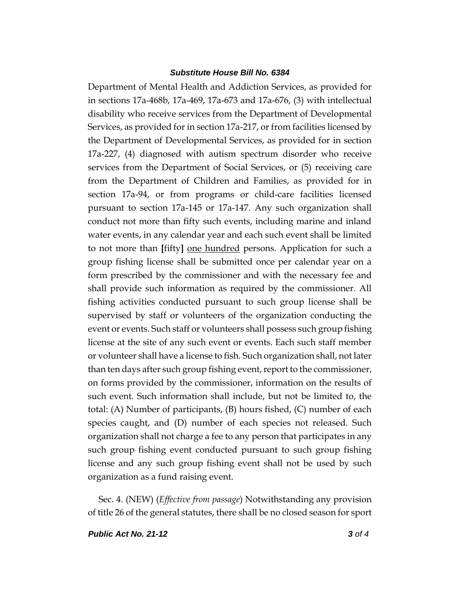Department of Mental Health and Addiction Services, as provided for in sections 17a-468b, 17a-469, 17a-673 and 17a-676, (3) with intellectual disability who receive services from the Department of Developmental Services, as provided for in section 17a-217, or from facilities licensed by the Department of Developmental Services, as provided for in section 17a-227, (4) diagnosed with autism spectrum disorder who receive services from the Department of Social Services, or (5) receiving care from the Department of Children and Families, as provided for in section 17a-94, or from programs or child-care facilities licensed pursuant to section 17a-145 or 17a-147. Any such organization shall conduct not more than fifty such events, including marine and inland water events, in any calendar year and each such event shall be limited to not more than **[**fifty**]** one hundred persons. Application for such a group fishing license shall be submitted once per calendar year on a form prescribed by the commissioner and with the necessary fee and shall provide such information as required by the commissioner. All fishing activities conducted pursuant to such group license shall be supervised by staff or volunteers of the organization conducting the event or events. Such staff or volunteers shall possess such group fishing license at the site of any such event or events. Each such staff member or volunteer shall have a license to fish. Such organization shall, not later than ten days after such group fishing event, report to the commissioner, on forms provided by the commissioner, information on the results of such event. Such information shall include, but not be limited to, the total: (A) Number of participants, (B) hours fished, (C) number of each species caught, and (D) number of each species not released. Such organization shall not charge a fee to any person that participates in any such group fishing event conducted pursuant to such group fishing license and any such group fishing event shall not be used by such organization as a fund raising event.

Sec. 4. (NEW) (*Effective from passage*) Notwithstanding any provision of title 26 of the general statutes, there shall be no closed season for sport